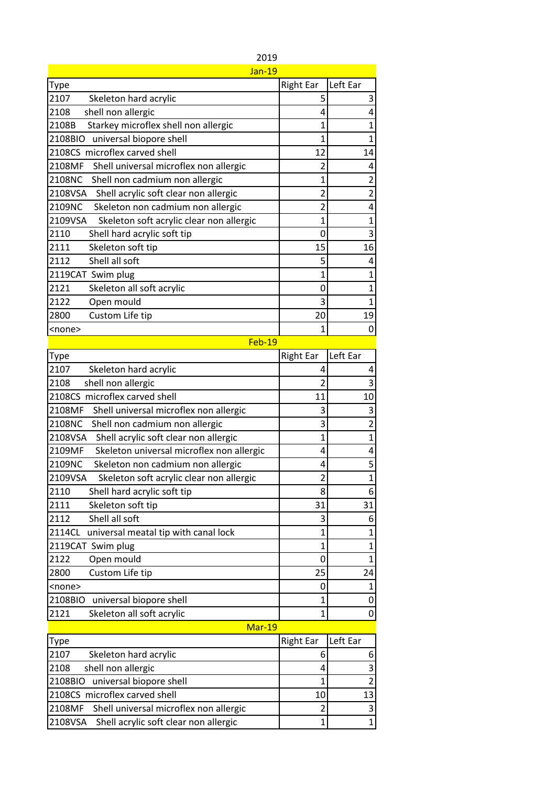| Jan-19                                              |                  |                |
|-----------------------------------------------------|------------------|----------------|
| Type                                                | <b>Right Ear</b> | Left Ear       |
| 2107<br>Skeleton hard acrylic                       | 5                | 3              |
| 2108<br>shell non allergic                          | 4                | 4              |
| Starkey microflex shell non allergic<br>2108B       | 1                | $\overline{1}$ |
| 2108BIO<br>universal biopore shell                  | 1                | $\mathbf{1}$   |
| 2108CS microflex carved shell                       | 12               | 14             |
| 2108MF<br>Shell universal microflex non allergic    | 2                | 4              |
| 2108NC<br>Shell non cadmium non allergic            | 1                | $\overline{2}$ |
| 2108VSA<br>Shell acrylic soft clear non allergic    | 2                | $\overline{2}$ |
| 2109NC<br>Skeleton non cadmium non allergic         | 2                | 4              |
| 2109VSA<br>Skeleton soft acrylic clear non allergic | $\mathbf{1}$     | $\mathbf{1}$   |
| 2110<br>Shell hard acrylic soft tip                 | 0                | 3              |
| 2111<br>Skeleton soft tip                           | 15               | 16             |
| 2112<br>Shell all soft                              | 5                | 4              |
| 2119CAT Swim plug                                   | $\overline{1}$   | $\overline{1}$ |
| 2121<br>Skeleton all soft acrylic                   | 0                | $\mathbf{1}$   |
| 2122<br>Open mould                                  | 3                | $\overline{1}$ |
| Custom Life tip<br>2800                             | 20               | 19             |
| <none></none>                                       | 1                | 0              |
| Feb-19                                              |                  |                |
| Type                                                | <b>Right Ear</b> | Left Ear       |
| 2107<br>Skeleton hard acrylic                       | 4                | 4              |
| 2108<br>shell non allergic                          | $\overline{c}$   | 3              |
| 2108CS microflex carved shell                       | 11               | 10             |
| Shell universal microflex non allergic<br>2108MF    | 3                | 3              |
| 2108NC<br>Shell non cadmium non allergic            | 3                | $\overline{2}$ |
| 2108VSA<br>Shell acrylic soft clear non allergic    | $\overline{1}$   | $\overline{1}$ |
| 2109MF<br>Skeleton universal microflex non allergic | 4                | 4              |
| 2109NC<br>Skeleton non cadmium non allergic         | 4                | 5              |
| Skeleton soft acrylic clear non allergic<br>2109VSA | $\overline{2}$   | $\overline{1}$ |
| 2110<br>Shell hard acrylic soft tip                 | 8                | 6              |
| Skeleton soft tip<br>2111                           | 31               | 31             |
| 2112<br>Shell all soft                              | 3                | 6              |
| 2114CL<br>universal meatal tip with canal lock      | $\mathbf{1}$     | $\mathbf{1}$   |
| 2119CAT Swim plug                                   | $\mathbf{1}$     | $\mathbf{1}$   |
| 2122<br>Open mould                                  | 0                | $\mathbf{1}$   |
| Custom Life tip<br>2800                             | 25               | 24             |
| <none></none>                                       | 0                | 1              |
| 2108BIO<br>universal biopore shell                  | $\overline{1}$   | 0              |
| 2121<br>Skeleton all soft acrylic                   | $\overline{1}$   | 0              |
| Mar-19                                              |                  |                |
| Type                                                | <b>Right Ear</b> | Left Ear       |
| 2107<br>Skeleton hard acrylic                       | 6                | 6              |
| shell non allergic<br>2108                          | 4                | 3              |
| universal biopore shell<br>2108BIO                  | 1                | $\overline{2}$ |
| 2108CS microflex carved shell                       | 10               | 13             |
| 2108MF<br>Shell universal microflex non allergic    | 2                | 3              |
| 2108VSA<br>Shell acrylic soft clear non allergic    | 1                | $\overline{1}$ |

2019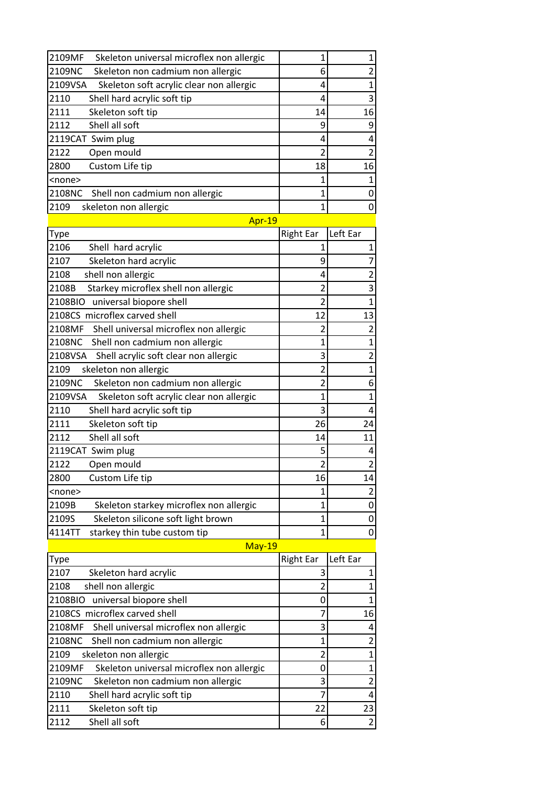| 2109MF<br>Skeleton universal microflex non allergic | 1                | 1                       |
|-----------------------------------------------------|------------------|-------------------------|
| 2109NC<br>Skeleton non cadmium non allergic         | 6                | $\overline{2}$          |
| 2109VSA<br>Skeleton soft acrylic clear non allergic | 4                | $\overline{1}$          |
| 2110<br>Shell hard acrylic soft tip                 | 4                | 3                       |
| 2111<br>Skeleton soft tip                           | 14               | 16                      |
| Shell all soft<br>2112                              | 9                | 9                       |
| 2119CAT Swim plug                                   | 4                | 4                       |
| 2122<br>Open mould                                  | $\overline{c}$   | $\overline{2}$          |
| Custom Life tip<br>2800                             | 18               | 16                      |
| <none></none>                                       | 1                | 1                       |
| 2108NC<br>Shell non cadmium non allergic            | $\overline{1}$   | 0                       |
| 2109<br>skeleton non allergic                       | $\overline{1}$   | 0                       |
| Apr-19                                              |                  |                         |
| Type                                                | <b>Right Ear</b> | Left Ear                |
| 2106<br>Shell hard acrylic                          | $\mathbf{1}$     | 1                       |
| 2107<br>Skeleton hard acrylic                       | 9                | $\overline{7}$          |
| shell non allergic<br>2108                          | 4                | $\overline{2}$          |
| 2108B<br>Starkey microflex shell non allergic       | $\overline{2}$   | 3                       |
| 2108BIO universal biopore shell                     | $\overline{2}$   | $\overline{1}$          |
| 2108CS microflex carved shell                       | 12               | 13                      |
| 2108MF<br>Shell universal microflex non allergic    | $\overline{2}$   | $\overline{2}$          |
| 2108NC<br>Shell non cadmium non allergic            | 1                | $\mathbf 1$             |
| 2108VSA<br>Shell acrylic soft clear non allergic    | 3                | $\overline{2}$          |
| skeleton non allergic<br>2109                       | $\overline{2}$   | 1                       |
| Skeleton non cadmium non allergic<br>2109NC         | $\overline{2}$   | 6                       |
| 2109VSA<br>Skeleton soft acrylic clear non allergic | $\overline{1}$   | $\mathbf 1$             |
| 2110<br>Shell hard acrylic soft tip                 | 3                | 4                       |
| 2111<br>Skeleton soft tip                           | 26               | 24                      |
| Shell all soft<br>2112                              | 14               | 11                      |
| 2119CAT Swim plug                                   | 5                | 4                       |
| 2122<br>Open mould                                  | $\overline{2}$   | $\overline{2}$          |
| 2800<br>Custom Life tip                             | 16               | 14                      |
| <none></none>                                       | 1                | $\overline{\mathbf{c}}$ |
| 2109B<br>Skeleton starkey microflex non allergic    | 1                | 0                       |
| 2109S<br>Skeleton silicone soft light brown         | $\overline{1}$   | 0                       |
| 4114TT<br>starkey thin tube custom tip              | 1                | 0                       |
| $May-19$                                            |                  |                         |
| Type                                                | <b>Right Ear</b> | Left Ear                |
| 2107<br>Skeleton hard acrylic                       | 3                | 1                       |
| 2108<br>shell non allergic                          | $\overline{c}$   | 1                       |
| universal biopore shell<br>2108BIO                  | 0                | 1                       |
| 2108CS microflex carved shell                       | 7                | 16                      |
| 2108MF<br>Shell universal microflex non allergic    | 3                | 4                       |
| 2108NC<br>Shell non cadmium non allergic            | $\overline{1}$   | $\overline{c}$          |
| 2109<br>skeleton non allergic                       | $\overline{2}$   | $\mathbf 1$             |
| 2109MF<br>Skeleton universal microflex non allergic | 0                | $\mathbf 1$             |
| 2109NC<br>Skeleton non cadmium non allergic         | 3                | $\overline{\mathbf{c}}$ |
| 2110<br>Shell hard acrylic soft tip                 | 7                | $\overline{4}$          |

2111 Skeleton soft tip 22 23<br>2112 Shell all soft 6 2

2112 Shell all soft 6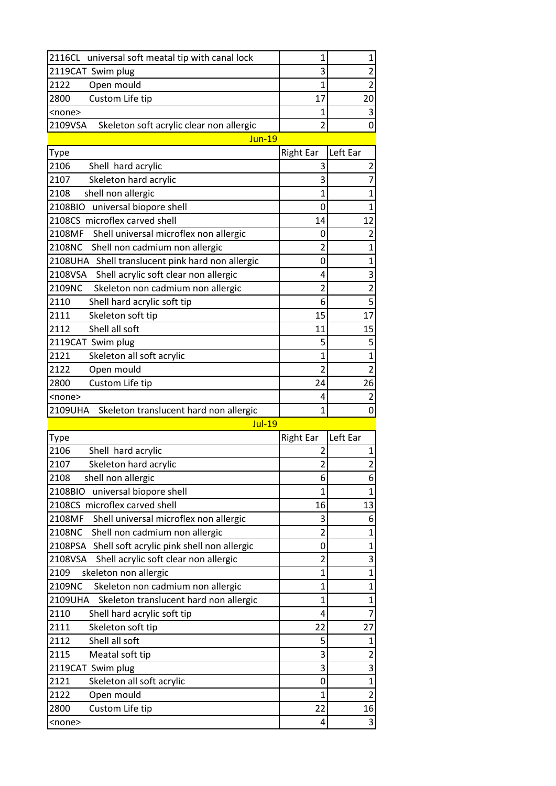| 2116CL universal soft meatal tip with canal lock    |    |  |
|-----------------------------------------------------|----|--|
| 2119CAT Swim plug                                   |    |  |
| 12122<br>Open mould                                 |    |  |
| 2800<br>Custom Life tip                             | 17 |  |
| <none></none>                                       |    |  |
| 2109VSA<br>Skeleton soft acrylic clear non allergic |    |  |

## Jun-19

| Type                                              | <b>Right Ear</b> | Left Ear                 |
|---------------------------------------------------|------------------|--------------------------|
| 2106<br>Shell hard acrylic                        | 3                | 2                        |
| 2107<br>Skeleton hard acrylic                     | 3                |                          |
| 2108<br>shell non allergic                        | $\overline{1}$   |                          |
| 2108BIO<br>universal biopore shell                | 0                | 1                        |
| 2108CS microflex carved shell                     | 14               | 12                       |
| 2108MF<br>Shell universal microflex non allergic  | 0                | $\mathfrak z$            |
| 2108NC<br>Shell non cadmium non allergic          | 2                | 1                        |
| 2108UHA Shell translucent pink hard non allergic  | 0                |                          |
| 2108VSA<br>Shell acrylic soft clear non allergic  | 4                | 3                        |
| 2109NC<br>Skeleton non cadmium non allergic       | $\overline{2}$   | $\overline{2}$           |
| 2110<br>Shell hard acrylic soft tip               | 6                | 5                        |
| 2111<br>Skeleton soft tip                         | 15               | 17                       |
| 2112<br>Shell all soft                            | 11               | 15                       |
| 2119CAT Swim plug                                 | 5                | 5                        |
| 2121<br>Skeleton all soft acrylic                 | $\overline{1}$   | 1                        |
| 2122<br>Open mould                                | 2                | $\overline{\mathcal{L}}$ |
| 2800<br>Custom Life tip                           | 24               | 26                       |
| <none></none>                                     | 4                | 2                        |
| 2109UHA<br>Skeleton translucent hard non allergic | $\mathbf{1}$     | 0                        |
| Jul-19                                            |                  |                          |

| Type                                               | <b>Right Ear</b> | Left Ear       |
|----------------------------------------------------|------------------|----------------|
| 2106<br>Shell hard acrylic                         | 2                | 1              |
| 2107<br>Skeleton hard acrylic                      | $\overline{2}$   | $\overline{2}$ |
| 2108<br>shell non allergic                         | 6                | 6              |
| universal biopore shell<br>2108BIO                 | $\overline{1}$   | 1              |
| 2108CS microflex carved shell                      | 16               | 13             |
| 2108MF<br>Shell universal microflex non allergic   | 3                | 6              |
| 2108NC<br>Shell non cadmium non allergic           | $\overline{2}$   | 1              |
| 2108PSA Shell soft acrylic pink shell non allergic | 0                | 1              |
| 2108VSA<br>Shell acrylic soft clear non allergic   | $\overline{2}$   | 3              |
| 2109<br>skeleton non allergic                      | $\mathbf{1}$     | 1              |
| 2109NC<br>Skeleton non cadmium non allergic        | 1                | 1              |
| 2109UHA<br>Skeleton translucent hard non allergic  | $\overline{1}$   | 1              |
| 2110<br>Shell hard acrylic soft tip                | 4                | 7              |
| 2111<br>Skeleton soft tip                          | 22               | 27             |
| Shell all soft<br>2112                             | 5                | 1              |
| 2115<br>Meatal soft tip                            | 3                | $\overline{2}$ |
| 2119CAT Swim plug                                  | 3                | 3              |
| 2121<br>Skeleton all soft acrylic                  | 0                | 1              |
| 2122<br>Open mould                                 | $\mathbf{1}$     | $\overline{2}$ |
| 2800<br>Custom Life tip                            | 22               | 16             |
| <none></none>                                      | 4                | 3              |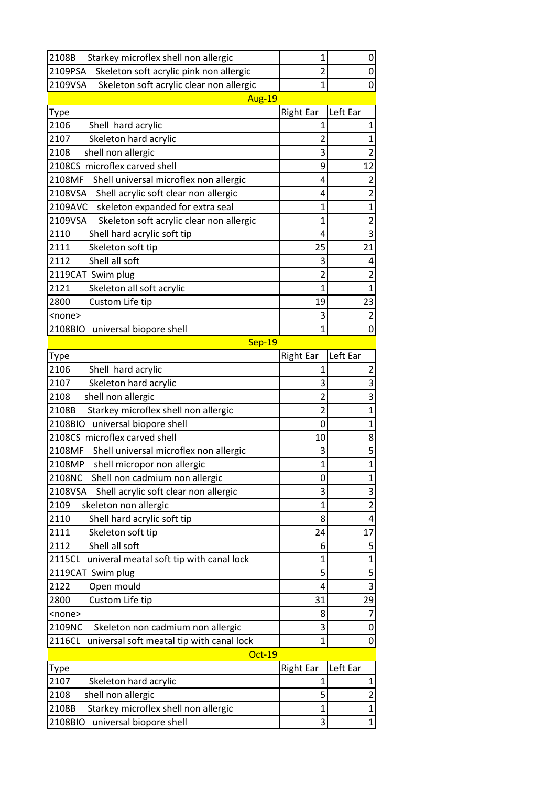| 2108B<br>Starkey microflex shell non allergic       | 1                | 0                       |
|-----------------------------------------------------|------------------|-------------------------|
| 2109PSA<br>Skeleton soft acrylic pink non allergic  | $\overline{c}$   | 0                       |
| 2109VSA<br>Skeleton soft acrylic clear non allergic | $\mathbf{1}$     | $\pmb{0}$               |
| Aug-19                                              |                  |                         |
| Type                                                | <b>Right Ear</b> | Left Ear                |
| 2106<br>Shell hard acrylic                          | 1                | 1                       |
| 2107<br>Skeleton hard acrylic                       | 2                | $\mathbf 1$             |
| shell non allergic<br>2108                          | 3                | $\overline{2}$          |
| 2108CS microflex carved shell                       | 9                | 12                      |
| 2108MF<br>Shell universal microflex non allergic    | 4                | 2                       |
| Shell acrylic soft clear non allergic<br>2108VSA    | 4                | $\overline{2}$          |
| skeleton expanded for extra seal<br>2109AVC         | 1                | $\mathbf 1$             |
| 2109VSA<br>Skeleton soft acrylic clear non allergic | $\mathbf{1}$     | $\overline{\mathbf{c}}$ |
| 2110<br>Shell hard acrylic soft tip                 | 4                | 3                       |
| 2111<br>Skeleton soft tip                           | 25               | 21                      |
| Shell all soft<br>2112                              | 3                | 4                       |
| 2119CAT Swim plug                                   | $\overline{2}$   | $\overline{2}$          |
| 2121<br>Skeleton all soft acrylic                   | $\mathbf{1}$     | $\mathbf 1$             |
| 2800<br>Custom Life tip                             | 19               | 23                      |
| <none></none>                                       | 3                | $\overline{c}$          |
| 2108BIO universal biopore shell                     | 1                | 0                       |
| $Sep-19$                                            |                  |                         |
| Type                                                | <b>Right Ear</b> | Left Ear                |
| 2106<br>Shell hard acrylic                          | 1                | 2                       |
| 2107<br>Skeleton hard acrylic                       | 3                | 3                       |
| 2108<br>shell non allergic                          | 2                | 3                       |
| Starkey microflex shell non allergic<br>2108B       | $\overline{c}$   | $\mathbf 1$             |
| 2108BIO<br>universal biopore shell                  | 0                | $\mathbf 1$             |
| 2108CS microflex carved shell                       | 10               | 8                       |
| 2108MF<br>Shell universal microflex non allergic    | 3                | 5                       |
| 2108MP<br>shell micropor non allergic               | $\mathbf{1}$     | $\mathbf{1}$            |
| 2108NC<br>Shell non cadmium non allergic            | 0                | 1                       |
| Shell acrylic soft clear non allergic<br>2108VSA    | 3                | 3                       |
| 2109<br>skeleton non allergic                       | 1                | $\overline{\mathbf{c}}$ |
| Shell hard acrylic soft tip<br>2110                 | 8                | 4                       |
| 2111<br>Skeleton soft tip                           | 24               | 17                      |
| Shell all soft<br>2112                              | 6                | 5                       |
| 2115CL<br>univeral meatal soft tip with canal lock  | 1                | $\mathbf 1$             |
| 2119CAT Swim plug                                   | 5                | 5                       |
| 2122<br>Open mould                                  | 4                | 3                       |
| Custom Life tip<br>2800                             | 31               | 29                      |
| <none></none>                                       | 8                | 7                       |
| 2109NC<br>Skeleton non cadmium non allergic         | 3                | 0                       |
| 2116CL<br>universal soft meatal tip with canal lock | $\mathbf{1}$     | $\mathbf 0$             |
| $Oct-19$                                            |                  |                         |
| Type                                                | <b>Right Ear</b> | Left Ear                |
| 2107<br>Skeleton hard acrylic                       | $\mathbf{1}$     | 1                       |
| shell non allergic<br>2108                          | 5                | $\overline{\mathbf{c}}$ |
| Starkey microflex shell non allergic<br>2108B       | $\overline{1}$   | $\mathbf{1}$            |
| 2108BIO<br>universal biopore shell                  | 3                | $\mathbf 1$             |

2108BIO universal biopore shell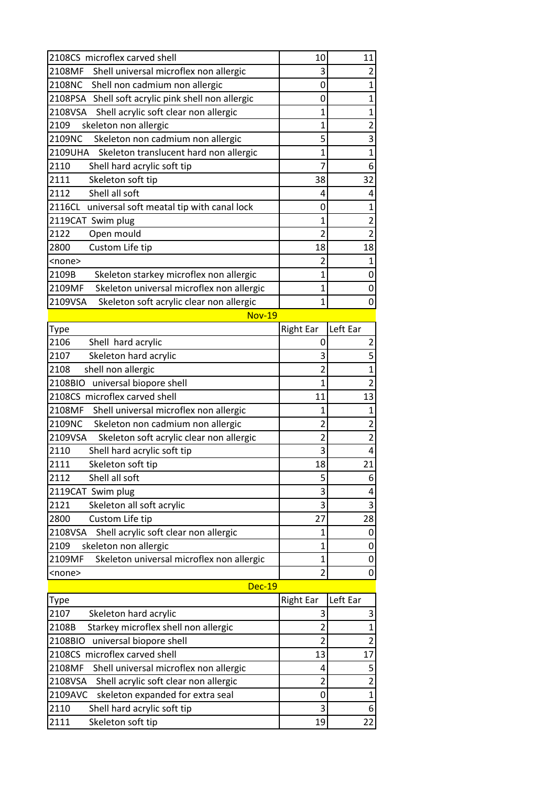| 2108CS microflex carved shell                       | 10               | 11                      |
|-----------------------------------------------------|------------------|-------------------------|
| 2108MF<br>Shell universal microflex non allergic    | 3                | 2                       |
| 2108NC<br>Shell non cadmium non allergic            | 0                | $\mathbf{1}$            |
| 2108PSA Shell soft acrylic pink shell non allergic  | 0                | 1                       |
| 2108VSA Shell acrylic soft clear non allergic       | 1                | 1                       |
| 2109<br>skeleton non allergic                       | $\overline{1}$   | $\overline{2}$          |
| 2109NC<br>Skeleton non cadmium non allergic         | 5                | 3                       |
| 2109UHA<br>Skeleton translucent hard non allergic   | $\overline{1}$   | $\mathbf{1}$            |
| 2110<br>Shell hard acrylic soft tip                 | 7                | 6                       |
| 2111<br>Skeleton soft tip                           | 38               | 32                      |
| 2112<br>Shell all soft                              | 4                | 4                       |
| 2116CL universal soft meatal tip with canal lock    | 0                | $\mathbf{1}$            |
| 2119CAT Swim plug                                   | 1                | 2                       |
| 2122<br>Open mould                                  | 2                | $\overline{2}$          |
| 2800<br>Custom Life tip                             | 18               | 18                      |
| <none></none>                                       | 2                | $\mathbf{1}$            |
| 2109B<br>Skeleton starkey microflex non allergic    | 1                | 0                       |
| Skeleton universal microflex non allergic<br>2109MF | $\mathbf{1}$     | 0                       |
| 2109VSA<br>Skeleton soft acrylic clear non allergic | $\overline{1}$   | 0                       |
| <b>Nov-19</b>                                       |                  |                         |
| Type                                                | <b>Right Ear</b> | Left Ear                |
| 2106<br>Shell hard acrylic                          | 0                | 2                       |
| 2107<br>Skeleton hard acrylic                       | 3                | 5                       |
| 2108<br>shell non allergic                          | $\overline{2}$   | $\mathbf 1$             |
| 2108BIO<br>universal biopore shell                  | $\overline{1}$   | $\overline{2}$          |
| 2108CS microflex carved shell                       | 11               | 13                      |
| 2108MF<br>Shell universal microflex non allergic    | 1                | 1                       |
| 2109NC<br>Skeleton non cadmium non allergic         | $\overline{2}$   | 2                       |
| 2109VSA<br>Skeleton soft acrylic clear non allergic | 2                | $\overline{\mathbf{c}}$ |
| 2110<br>Shell hard acrylic soft tip                 | 3                | 4                       |
| 2111<br>Skeleton soft tip                           | 18               | 21                      |
| 2112<br>Shell all soft                              | 5                | 6                       |
| 2119CAT Swim plug                                   | 3                | 4                       |
| 2121<br>Skeleton all soft acrylic                   | 3                | 3                       |
| Custom Life tip<br>2800                             | 27               | 28                      |
| Shell acrylic soft clear non allergic<br>2108VSA    | 1                | 0                       |
| skeleton non allergic<br>2109                       | 1                | 0                       |
| Skeleton universal microflex non allergic<br>2109MF | $\mathbf{1}$     | 0                       |
| <none></none>                                       |                  |                         |
|                                                     | 2                | 0                       |
| <b>Dec-19</b>                                       |                  |                         |
| <b>Type</b>                                         | <b>Right Ear</b> | Left Ear                |

| Type                                          | Right Ear | ILeft Ear     |
|-----------------------------------------------|-----------|---------------|
| 2107<br>Skeleton hard acrylic                 |           | 3             |
| 2108B<br>Starkey microflex shell non allergic |           | 1             |
| 2108BIO universal biopore shell               |           | $\mathcal{P}$ |
| 2108CS microflex carved shell                 | 13        | 17            |
| 2108MF Shell universal microflex non allergic |           | 5             |
| 2108VSA Shell acrylic soft clear non allergic |           | 2             |
| 2109AVC skeleton expanded for extra seal      |           | 1             |
| 2110<br>Shell hard acrylic soft tip           |           | 6             |
| 2111<br>Skeleton soft tip                     | 19        | 22            |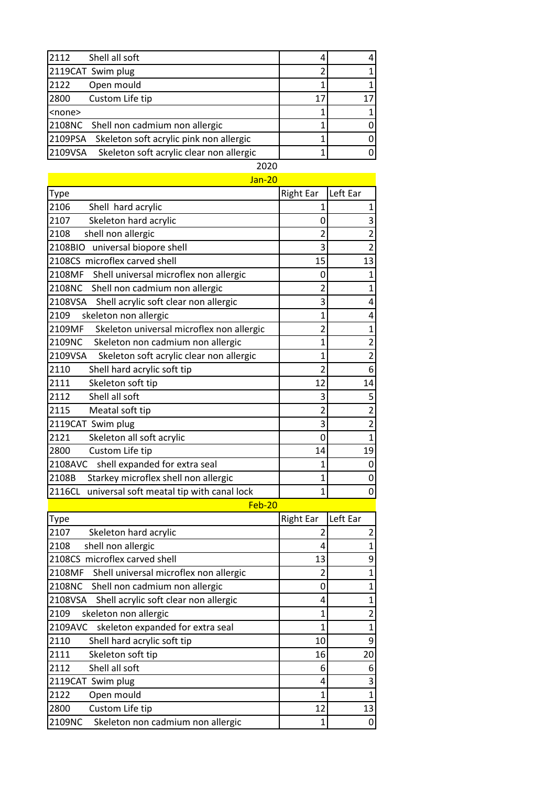| Shell all soft<br>2112                              |    |  |
|-----------------------------------------------------|----|--|
| 2119CAT Swim plug                                   |    |  |
| 2122<br>Open mould                                  |    |  |
| 2800<br>Custom Life tip                             | 17 |  |
| <none></none>                                       |    |  |
| 2108NC Shell non cadmium non allergic               |    |  |
| 2109PSA<br>Skeleton soft acrylic pink non allergic  |    |  |
| 2109VSA<br>Skeleton soft acrylic clear non allergic |    |  |
| ----                                                |    |  |

| <b>Jan-20</b>                                       |                          |                         |
|-----------------------------------------------------|--------------------------|-------------------------|
| <b>Type</b>                                         | <b>Right Ear</b>         | Left Ear                |
| 2106<br>Shell hard acrylic                          | 1                        | $\mathbf{1}$            |
| Skeleton hard acrylic<br>2107                       | 0                        | 3                       |
| shell non allergic<br>2108                          |                          | $\overline{\mathbf{c}}$ |
| universal biopore shell<br>2108BIO                  | 3                        | $\overline{a}$          |
| 2108CS microflex carved shell                       | 15                       | 13                      |
| 2108MF<br>Shell universal microflex non allergic    | 0                        | 1                       |
| 2108NC<br>Shell non cadmium non allergic            |                          | $\mathbf{1}$            |
| 2108VSA<br>Shell acrylic soft clear non allergic    | 3                        | 4                       |
| 2109<br>skeleton non allergic                       | 1                        | 4                       |
| 2109MF<br>Skeleton universal microflex non allergic | 2                        | $\mathbf{1}$            |
| 2109NC<br>Skeleton non cadmium non allergic         | 1                        | $\overline{a}$          |
| 2109VSA<br>Skeleton soft acrylic clear non allergic | 1                        | $\overline{2}$          |
| 2110<br>Shell hard acrylic soft tip                 | $\overline{\mathcal{L}}$ | 6                       |
| 2111<br>Skeleton soft tip                           | 12                       | 14                      |
| 2112<br>Shell all soft                              | 3                        | 5                       |
| 2115<br>Meatal soft tip                             | 2                        | $\overline{2}$          |
| 2119CAT Swim plug                                   | 3                        | $\overline{c}$          |
| 2121<br>Skeleton all soft acrylic                   | 0                        | $\mathbf{1}$            |
| 2800<br>Custom Life tip                             | 14                       | 19                      |
| 2108AVC<br>shell expanded for extra seal            | 1                        | 0                       |
| Starkey microflex shell non allergic<br>2108B       | 1                        | 0                       |
| 2116CL<br>universal soft meatal tip with canal lock | 1                        | 0                       |
| Feb-20                                              |                          |                         |

Type **Right Ear** Right Ear Left Ear 2107 Skeleton hard acrylic 2 2 2108 shell non allergic and the set of the set of the set of the set of the set of the set of the set of the set of the set of the set of the set of the set of the set of the set of the set of the set of the set of the set 2108CS microflex carved shell 13 9 2108MF Shell universal microflex non allergic  $\begin{vmatrix} 2 & 1 \end{vmatrix}$  1 2108NC Shell non cadmium non allergic 0 1 2108VSA Shell acrylic soft clear non allergic  $\begin{vmatrix} 4 & 4 \end{vmatrix}$  1 2109 skeleton non allergic and the set of the skeleton non allergic and the set of the set of the set of the set of the set of the set of the set of the set of the set of the set of the set of the set of the set of the set 2109AVC skeleton expanded for extra seal  $\begin{vmatrix} 1 & 1 \end{vmatrix}$  1 2110 Shell hard acrylic soft tip 10 9 2111 Skeleton soft tip 16 20 2112 Shell all soft 6 6 6 6 6 6 6 7 19 CAT Swim plug 2119CAT Swim plug 4 2122 Open mould  $1$  1 1 2800 Custom Life tip 12 13 2109NC Skeleton non cadmium non allergic  $1$  0

2020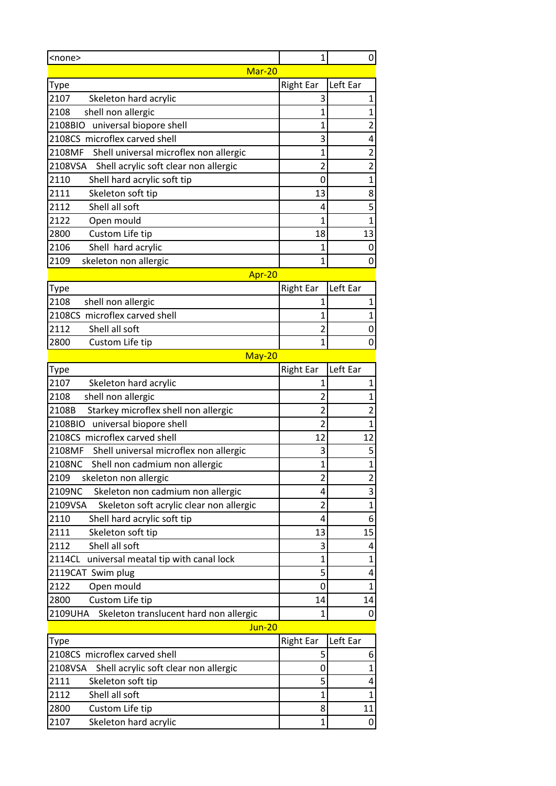| <none></none>                                       | $\overline{1}$   | 0                       |  |
|-----------------------------------------------------|------------------|-------------------------|--|
| Mar-20                                              |                  |                         |  |
| Type                                                | <b>Right Ear</b> | Left Ear                |  |
| 2107<br>Skeleton hard acrylic                       | 3                | 1                       |  |
| 2108<br>shell non allergic                          | 1                | $\mathbf{1}$            |  |
| 2108BIO<br>universal biopore shell                  | 1                | 2                       |  |
| 2108CS microflex carved shell                       | 3                | 4                       |  |
| 2108MF<br>Shell universal microflex non allergic    | $\mathbf{1}$     | $\overline{\mathbf{c}}$ |  |
| 2108VSA<br>Shell acrylic soft clear non allergic    | 2                | $\overline{2}$          |  |
| 2110<br>Shell hard acrylic soft tip                 | 0                | $\mathbf{1}$            |  |
| 2111<br>Skeleton soft tip                           | 13               | 8                       |  |
| Shell all soft<br>2112                              | 4                | $\overline{\mathbf{5}}$ |  |
| 2122<br>Open mould                                  | 1                | $\mathbf{1}$            |  |
| Custom Life tip<br>2800                             | 18               | 13                      |  |
| Shell hard acrylic<br>2106                          | 1                | 0                       |  |
| 2109<br>skeleton non allergic                       | 1                | 0                       |  |
| Apr-20                                              |                  |                         |  |
| <b>Type</b>                                         | <b>Right Ear</b> | Left Ear                |  |
| 2108<br>shell non allergic                          | 1                | 1                       |  |
| 2108CS microflex carved shell                       | 1                | 1                       |  |
| Shell all soft<br>2112                              | $\overline{c}$   | 0                       |  |
| 2800<br>Custom Life tip                             | 1                | 0                       |  |
| May-20                                              |                  |                         |  |
| <b>Type</b>                                         | <b>Right Ear</b> | Left Ear                |  |
| 2107<br>Skeleton hard acrylic                       | 1                | 1                       |  |
| 2108<br>shell non allergic                          | 2                | $\mathbf 1$             |  |
| 2108B<br>Starkey microflex shell non allergic       | $\overline{c}$   | $\overline{\mathbf{c}}$ |  |
| 2108BIO<br>universal biopore shell                  | $\overline{2}$   | $\mathbf 1$             |  |
| 2108CS microflex carved shell                       | 12               | 12                      |  |
| 2108MF<br>Shell universal microflex non allergic    | 3                | 5                       |  |
| 2108NC<br>Shell non cadmium non allergic            | $\mathbf{1}$     | $\overline{1}$          |  |
| 2109<br>skeleton non allergic                       | $\overline{c}$   | $\overline{\mathbf{c}}$ |  |
| 2109NC<br>Skeleton non cadmium non allergic         | 4                | 3                       |  |
| 2109VSA<br>Skeleton soft acrylic clear non allergic | $\overline{2}$   | $\overline{1}$          |  |
| 2110<br>Shell hard acrylic soft tip                 | 4                | 6                       |  |
| 2111<br>Skeleton soft tip                           | 13               | 15                      |  |
| Shell all soft<br>2112                              | 3                | 4                       |  |
| universal meatal tip with canal lock<br>2114CL      | 1                | $\mathbf{1}$            |  |
| 2119CAT Swim plug                                   | 5                | 4                       |  |
| Open mould<br>2122                                  | 0                | $\mathbf{1}$            |  |
| Custom Life tip<br>2800                             | 14               | 14                      |  |
| 2109UHA<br>Skeleton translucent hard non allergic   | 1                | 0                       |  |
| <b>Jun-20</b>                                       |                  |                         |  |
| <b>Type</b>                                         | <b>Right Ear</b> | Left Ear                |  |
| 2108CS microflex carved shell                       | 5                | 6                       |  |
| 2108VSA<br>Shell acrylic soft clear non allergic    | 0                | $\mathbf 1$             |  |
| 2111<br>Skeleton soft tip                           | 5                | 4                       |  |
| 2112<br>Shell all soft                              | 1                | $\mathbf{1}$            |  |
| 2800<br>Custom Life tip                             | 8                | 11                      |  |
| Skeleton hard acrylic<br>2107                       | 1                | 0                       |  |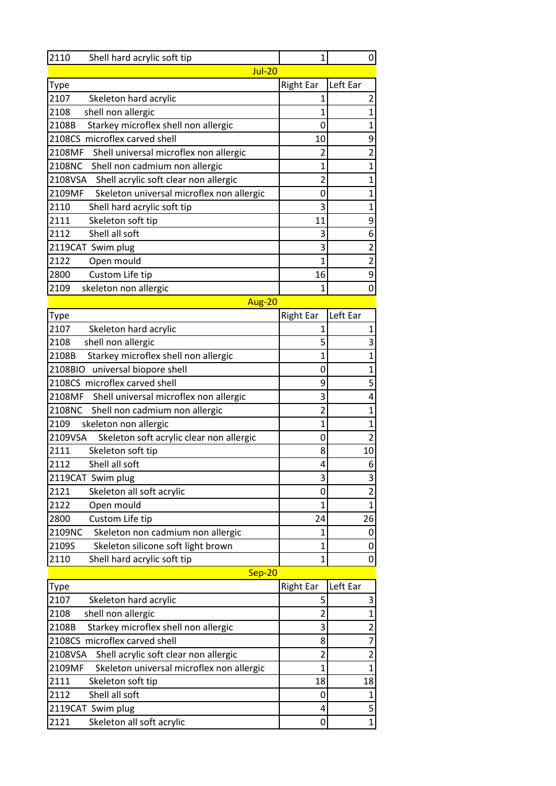| 2110<br>Shell hard acrylic soft tip                 | 1                | 0                       |
|-----------------------------------------------------|------------------|-------------------------|
| $Jul-20$                                            |                  |                         |
| Type                                                | <b>Right Ear</b> | Left Ear                |
| 2107<br>Skeleton hard acrylic                       | 1                | $\overline{\mathbf{c}}$ |
| 2108<br>shell non allergic                          | 1                | $\mathbf{1}$            |
| 2108B<br>Starkey microflex shell non allergic       | 0                | $\mathbf 1$             |
| 2108CS microflex carved shell                       | 10               | 9                       |
| 2108MF<br>Shell universal microflex non allergic    | 2                | $\overline{c}$          |
| 2108NC<br>Shell non cadmium non allergic            | 1                | $\mathbf 1$             |
| 2108VSA<br>Shell acrylic soft clear non allergic    | $\overline{2}$   | $\mathbf 1$             |
| 2109MF<br>Skeleton universal microflex non allergic | 0                | $\mathbf 1$             |
| 2110<br>Shell hard acrylic soft tip                 | 3                | $\mathbf 1$             |
| 2111<br>Skeleton soft tip                           | 11               | 9                       |
| 2112<br>Shell all soft                              | 3                | 6                       |
| 2119CAT Swim plug                                   | 3                | $\overline{\mathbf{c}}$ |
| 2122<br>Open mould                                  | $\overline{1}$   | $\overline{\mathbf{c}}$ |
| 2800<br>Custom Life tip                             | 16               | 9                       |
| 2109<br>skeleton non allergic                       | 1                | $\mathbf 0$             |
| Aug-20                                              |                  |                         |
| Type                                                | <b>Right Ear</b> | Left Ear                |
| 2107<br>Skeleton hard acrylic                       | 1                | 1                       |
| 2108<br>shell non allergic                          | 5                | 3                       |
| 2108B<br>Starkey microflex shell non allergic       | 1                | $\mathbf 1$             |
| 2108BIO<br>universal biopore shell                  | 0                | $\mathbf{1}$            |
| 2108CS microflex carved shell                       | 9                | 5                       |
| 2108MF<br>Shell universal microflex non allergic    | 3                | 4                       |
| 2108NC<br>Shell non cadmium non allergic            | $\overline{2}$   | $\mathbf{1}$            |
| 2109<br>skeleton non allergic                       | $\overline{1}$   | $\mathbf 1$             |
| 2109VSA<br>Skeleton soft acrylic clear non allergic | 0                | $\overline{2}$          |
| 2111<br>Skeleton soft tip                           | 8                | 10                      |
| 2112<br>Shell all soft                              | 4                | 6                       |
| 2119CAT Swim plug                                   | 3                | 3                       |
| 2121<br>Skeleton all soft acrylic                   | 0                | $\overline{2}$          |
| 2122<br>Open mould                                  | $\mathbf{1}$     | $\mathbf{1}$            |
| Custom Life tip<br>2800                             | 24               | 26                      |
| 2109NC<br>Skeleton non cadmium non allergic         | 1                | 0                       |
| 2109S<br>Skeleton silicone soft light brown         | $\mathbf{1}$     | $\mathbf 0$             |
| 2110<br>Shell hard acrylic soft tip                 | $\mathbf{1}$     | 0                       |
| Sep-20                                              |                  |                         |
| <b>Type</b>                                         | <b>Right Ear</b> | Left Ear                |
| 2107<br>Skeleton hard acrylic                       | 5                | 3                       |
| 2108<br>shell non allergic                          | 2                | $\mathbf 1$             |
| Starkey microflex shell non allergic<br>2108B       | 3                | 2                       |
| 2108CS microflex carved shell                       | 8                | $\overline{7}$          |
| 2108VSA<br>Shell acrylic soft clear non allergic    | $\overline{c}$   | $\overline{\mathbf{c}}$ |
| 2109MF<br>Skeleton universal microflex non allergic | 1                | $\mathbf 1$             |
| 2111<br>Skeleton soft tip                           | 18               | 18                      |
| 2112<br>Shell all soft                              | 0                | $\mathbf 1$             |
| 2119CAT Swim plug                                   | 4                | 5                       |
| 2121<br>Skeleton all soft acrylic                   | 0                | $\mathbf{1}$            |
|                                                     |                  |                         |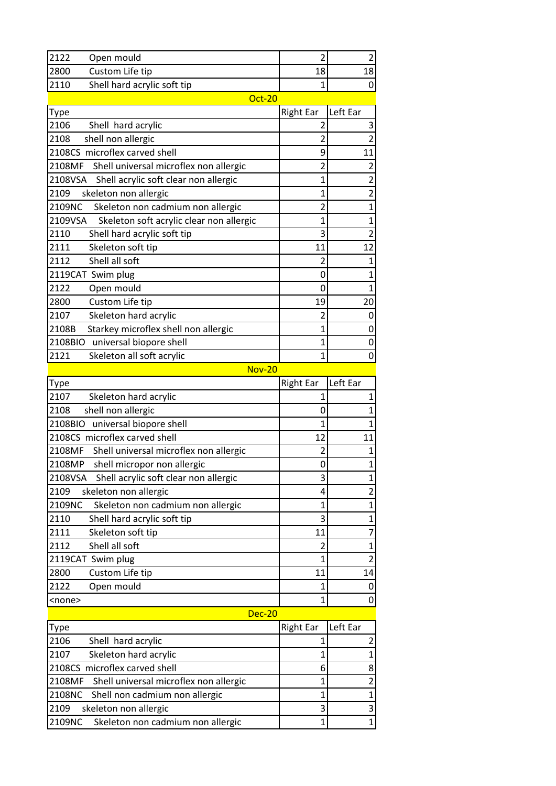| 2122<br>Open mould                                                           | 2                   | 2                 |
|------------------------------------------------------------------------------|---------------------|-------------------|
| 2800<br>Custom Life tip                                                      | 18                  | 18                |
| 2110<br>Shell hard acrylic soft tip                                          | 1                   | 0                 |
| <b>Oct-20</b>                                                                |                     |                   |
| Type                                                                         | <b>Right Ear</b>    | Left Ear          |
| 2106<br>Shell hard acrylic                                                   | 2                   | 3                 |
| shell non allergic<br>2108                                                   | $\overline{2}$      | $\overline{2}$    |
| 2108CS microflex carved shell                                                | 9                   | 11                |
| 2108MF<br>Shell universal microflex non allergic                             | 2                   | 2                 |
| Shell acrylic soft clear non allergic<br>2108VSA                             | 1                   | $\overline{c}$    |
| 2109<br>skeleton non allergic                                                | 1                   | 2                 |
| 2109NC<br>Skeleton non cadmium non allergic                                  | $\overline{2}$      | 1                 |
| 2109VSA<br>Skeleton soft acrylic clear non allergic                          | 1                   | $\mathbf{1}$      |
| 2110<br>Shell hard acrylic soft tip                                          | 3                   | $\overline{2}$    |
| 2111<br>Skeleton soft tip                                                    | 11                  | 12                |
| 2112<br>Shell all soft                                                       | $\overline{2}$      | $\mathbf{1}$      |
| 2119CAT Swim plug                                                            | 0                   | 1                 |
| 2122<br>Open mould                                                           | 0                   | 1                 |
| Custom Life tip<br>2800                                                      | 19                  | 20                |
| 2107<br>Skeleton hard acrylic                                                | 2                   | 0                 |
| Starkey microflex shell non allergic<br>2108B                                | 1                   | 0                 |
| 2108BIO<br>universal biopore shell                                           | 1                   | 0                 |
| 2121<br>Skeleton all soft acrylic                                            | $\mathbf{1}$        | 0                 |
| <b>Nov-20</b>                                                                |                     |                   |
| <b>Type</b>                                                                  | <b>Right Ear</b>    | Left Ear          |
| 2107<br>Skeleton hard acrylic                                                | 1                   | 1                 |
| 2108<br>shell non allergic                                                   | 0                   | 1                 |
| 2108BIO<br>universal biopore shell                                           | $\overline{1}$      | 1                 |
| 2108CS microflex carved shell                                                | 12                  | 11                |
| Shell universal microflex non allergic<br>2108MF                             | 2                   | 1                 |
| 2108MP<br>shell micropor non allergic                                        | 0                   | 1                 |
| 2108VSA<br>Shell acrylic soft clear non allergic                             | 3                   | 1                 |
| 2109<br>skeleton non allergic                                                | 4                   | $\overline{2}$    |
| 2109NC<br>Skeleton non cadmium non allergic                                  | 1                   | 1                 |
| 2110<br>Shell hard acrylic soft tip                                          | 3                   | 1                 |
| 2111<br>Skeleton soft tip                                                    | 11                  | 7                 |
| Shell all soft<br>2112                                                       | 2                   | 1                 |
| 2119CAT Swim plug                                                            | $\overline{1}$      | 2                 |
| 2800<br>Custom Life tip                                                      | 11                  | 14                |
|                                                                              |                     |                   |
| 2122<br>Open mould                                                           | 1                   | 0                 |
| <none></none>                                                                | $\mathbf{1}$        | 0                 |
| <b>Dec-20</b>                                                                |                     |                   |
| Type                                                                         | <b>Right Ear</b>    | Left Ear          |
| 2106<br>Shell hard acrylic                                                   | 1                   | 2                 |
| Skeleton hard acrylic<br>2107                                                | $\mathbf{1}$        | 1                 |
| 2108CS microflex carved shell                                                | 6                   | 8                 |
| 2108MF<br>Shell universal microflex non allergic                             | $\overline{1}$      | $\overline{2}$    |
| 2108NC<br>Shell non cadmium non allergic                                     | $\mathbf 1$         | $\mathbf 1$       |
| skeleton non allergic<br>2109<br>2109NC<br>Skeleton non cadmium non allergic | 3<br>$\overline{1}$ | 3<br>$\mathbf{1}$ |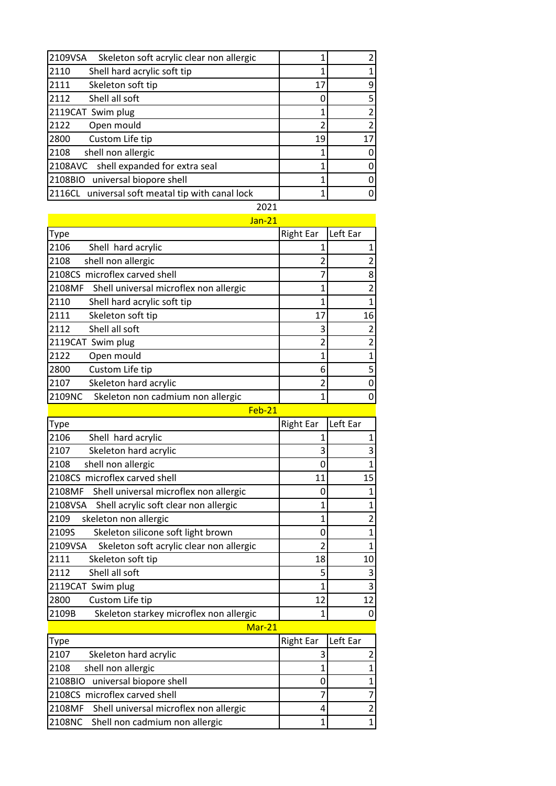| 2109VSA<br>Skeleton soft acrylic clear non allergic |    |    |
|-----------------------------------------------------|----|----|
| 2110<br>Shell hard acrylic soft tip                 |    |    |
| 2111<br>Skeleton soft tip                           | 17 | q  |
| 2112<br>Shell all soft                              |    |    |
| 2119CAT Swim plug                                   |    |    |
| 2122<br>Open mould                                  | 2  |    |
| Custom Life tip<br>2800                             | 19 | 17 |
| 2108<br>shell non allergic                          |    |    |
| 2108AVC shell expanded for extra seal               |    |    |
| 2108BIO<br>universal biopore shell                  |    |    |
| 2116CL universal soft meatal tip with canal lock    |    |    |
| 2021                                                |    |    |

| $Jan-21$                                         |                  |                |
|--------------------------------------------------|------------------|----------------|
| Type                                             | <b>Right Ear</b> | Left Ear       |
| 2106<br>Shell hard acrylic                       |                  | 1              |
| 2108<br>shell non allergic                       |                  | 2              |
| 2108CS microflex carved shell                    |                  | 8              |
| 2108MF<br>Shell universal microflex non allergic |                  | $\overline{2}$ |
| Shell hard acrylic soft tip<br>2110              |                  | 1              |
| 2111<br>Skeleton soft tip                        | 17               | 16             |
| 2112<br>Shell all soft                           |                  | $\overline{2}$ |
| 2119CAT Swim plug                                |                  | 2              |
| 2122<br>Open mould                               |                  | $\mathbf{1}$   |
| 2800<br>Custom Life tip                          | 6                | 5              |
| Skeleton hard acrylic<br>2107                    |                  | 0              |
| 2109NC<br>Skeleton non cadmium non allergic      |                  | 0              |

|--|--|

| Type                                                | <b>Right Ear</b> | Left Ear |
|-----------------------------------------------------|------------------|----------|
| 2106<br>Shell hard acrylic                          |                  |          |
| Skeleton hard acrylic<br>2107                       | 3                |          |
| 2108<br>shell non allergic                          | 0                |          |
| 2108CS microflex carved shell                       | 11               | 15       |
| 2108MF<br>Shell universal microflex non allergic    | Ω                |          |
| Shell acrylic soft clear non allergic<br>2108VSA    | 1                |          |
| 2109<br>skeleton non allergic                       | 1                |          |
| 2109S<br>Skeleton silicone soft light brown         | 0                |          |
| 2109VSA<br>Skeleton soft acrylic clear non allergic | 2                |          |
| 2111<br>Skeleton soft tip                           | 18               | 10       |
| Shell all soft<br>2112                              | 5                |          |
| 2119CAT Swim plug                                   | 1                | 3        |
| 2800<br>Custom Life tip                             | 12               | 12       |
| 2109B<br>Skeleton starkey microflex non allergic    |                  |          |

## Mar-21

| <b>Type</b>                                   | Right Ear Left Ear |  |
|-----------------------------------------------|--------------------|--|
| 2107<br>Skeleton hard acrylic                 |                    |  |
| 2108<br>shell non allergic                    |                    |  |
| 2108BIO universal biopore shell               |                    |  |
| 2108CS microflex carved shell                 |                    |  |
| 2108MF Shell universal microflex non allergic |                    |  |
| 2108NC Shell non cadmium non allergic         |                    |  |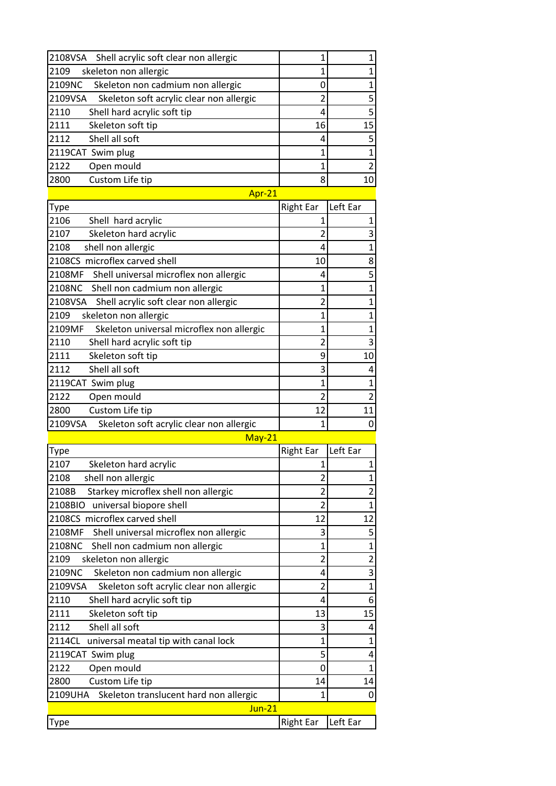| skeleton non allergic<br>1<br>2109<br>1<br>2109NC<br>1<br>Skeleton non cadmium non allergic<br>0<br>5<br>2109VSA<br>Skeleton soft acrylic clear non allergic<br>$\overline{2}$<br>5<br>4<br>2110<br>Shell hard acrylic soft tip<br>2111<br>Skeleton soft tip<br>15<br>16<br>5<br>2112<br>Shell all soft<br>4<br>$\overline{1}$<br>2119CAT Swim plug<br>1<br>2122<br>$\overline{2}$<br>Open mould<br>$\mathbf{1}$<br>Custom Life tip<br>2800<br>8<br>10<br>Apr-21<br>Left Ear<br><b>Right Ear</b><br>Type<br>2106<br>Shell hard acrylic<br>$\mathbf{1}$<br>1<br>2107<br>Skeleton hard acrylic<br>2<br>3<br>shell non allergic<br>1<br>2108<br>4<br>2108CS microflex carved shell<br>8<br>10<br>5<br>2108MF<br>Shell universal microflex non allergic<br>4<br>2108NC<br>Shell non cadmium non allergic<br>$\mathbf{1}$<br>$\mathbf{1}$<br>$\mathbf{1}$<br>2108VSA<br>Shell acrylic soft clear non allergic<br>$\overline{2}$<br>2109<br>skeleton non allergic<br>1<br>1<br>Skeleton universal microflex non allergic<br>2109MF<br>$\overline{1}$<br>$\mathbf{1}$<br>2110<br>3<br>Shell hard acrylic soft tip<br>$\overline{2}$<br>2111<br>Skeleton soft tip<br>9<br>10<br>Shell all soft<br>2112<br>3<br>4<br>$\mathbf{1}$<br>2119CAT Swim plug<br>$\mathbf{1}$<br>$\overline{2}$<br>2122<br>Open mould<br>$\overline{2}$<br>12<br>Custom Life tip<br>11<br>2800<br>2109VSA<br>Skeleton soft acrylic clear non allergic<br>$\mathbf{1}$<br>0<br>$May-21$<br>Left Ear<br><b>Right Ear</b><br>Type<br>2107<br>Skeleton hard acrylic<br>$\mathbf{1}$<br>1<br>2108<br>shell non allergic<br>2<br>1<br>Starkey microflex shell non allergic<br>$\overline{2}$<br>$\overline{c}$<br>2108B<br>universal biopore shell<br>2108BIO<br>2<br>1<br>2108CS microflex carved shell<br>12<br>12<br>2108MF<br>5<br>Shell universal microflex non allergic<br>3<br>2108NC<br>Shell non cadmium non allergic<br>$\overline{1}$<br>1<br>$\overline{\mathbf{c}}$<br>skeleton non allergic<br>$\overline{2}$<br>2109<br>3<br>2109NC<br>Skeleton non cadmium non allergic<br>4<br>2109VSA<br>Skeleton soft acrylic clear non allergic<br>$\overline{2}$<br>$\mathbf{1}$<br>2110<br>Shell hard acrylic soft tip<br>6<br>4<br>2111<br>Skeleton soft tip<br>13<br>15<br>Shell all soft<br>2112<br>3<br>4<br>2114CL<br>$\mathbf{1}$<br>universal meatal tip with canal lock<br>$\mathbf 1$<br>5<br>2119CAT Swim plug<br>4<br>Open mould<br>2122<br>0<br>1<br>Custom Life tip<br>2800<br>14<br>14<br>2109UHA<br>Skeleton translucent hard non allergic<br>1<br>0<br>Jun-21<br>Left Ear<br><b>Right Ear</b><br>Type | 2108VSA<br>Shell acrylic soft clear non allergic | 1 | 1 |
|---------------------------------------------------------------------------------------------------------------------------------------------------------------------------------------------------------------------------------------------------------------------------------------------------------------------------------------------------------------------------------------------------------------------------------------------------------------------------------------------------------------------------------------------------------------------------------------------------------------------------------------------------------------------------------------------------------------------------------------------------------------------------------------------------------------------------------------------------------------------------------------------------------------------------------------------------------------------------------------------------------------------------------------------------------------------------------------------------------------------------------------------------------------------------------------------------------------------------------------------------------------------------------------------------------------------------------------------------------------------------------------------------------------------------------------------------------------------------------------------------------------------------------------------------------------------------------------------------------------------------------------------------------------------------------------------------------------------------------------------------------------------------------------------------------------------------------------------------------------------------------------------------------------------------------------------------------------------------------------------------------------------------------------------------------------------------------------------------------------------------------------------------------------------------------------------------------------------------------------------------------------------------------------------------------------------------------------------------------------------------------------------------------------------------------------------------------------------------------------------------------------------------------------------------------------------------------------|--------------------------------------------------|---|---|
|                                                                                                                                                                                                                                                                                                                                                                                                                                                                                                                                                                                                                                                                                                                                                                                                                                                                                                                                                                                                                                                                                                                                                                                                                                                                                                                                                                                                                                                                                                                                                                                                                                                                                                                                                                                                                                                                                                                                                                                                                                                                                                                                                                                                                                                                                                                                                                                                                                                                                                                                                                                       |                                                  |   |   |
|                                                                                                                                                                                                                                                                                                                                                                                                                                                                                                                                                                                                                                                                                                                                                                                                                                                                                                                                                                                                                                                                                                                                                                                                                                                                                                                                                                                                                                                                                                                                                                                                                                                                                                                                                                                                                                                                                                                                                                                                                                                                                                                                                                                                                                                                                                                                                                                                                                                                                                                                                                                       |                                                  |   |   |
|                                                                                                                                                                                                                                                                                                                                                                                                                                                                                                                                                                                                                                                                                                                                                                                                                                                                                                                                                                                                                                                                                                                                                                                                                                                                                                                                                                                                                                                                                                                                                                                                                                                                                                                                                                                                                                                                                                                                                                                                                                                                                                                                                                                                                                                                                                                                                                                                                                                                                                                                                                                       |                                                  |   |   |
|                                                                                                                                                                                                                                                                                                                                                                                                                                                                                                                                                                                                                                                                                                                                                                                                                                                                                                                                                                                                                                                                                                                                                                                                                                                                                                                                                                                                                                                                                                                                                                                                                                                                                                                                                                                                                                                                                                                                                                                                                                                                                                                                                                                                                                                                                                                                                                                                                                                                                                                                                                                       |                                                  |   |   |
|                                                                                                                                                                                                                                                                                                                                                                                                                                                                                                                                                                                                                                                                                                                                                                                                                                                                                                                                                                                                                                                                                                                                                                                                                                                                                                                                                                                                                                                                                                                                                                                                                                                                                                                                                                                                                                                                                                                                                                                                                                                                                                                                                                                                                                                                                                                                                                                                                                                                                                                                                                                       |                                                  |   |   |
|                                                                                                                                                                                                                                                                                                                                                                                                                                                                                                                                                                                                                                                                                                                                                                                                                                                                                                                                                                                                                                                                                                                                                                                                                                                                                                                                                                                                                                                                                                                                                                                                                                                                                                                                                                                                                                                                                                                                                                                                                                                                                                                                                                                                                                                                                                                                                                                                                                                                                                                                                                                       |                                                  |   |   |
|                                                                                                                                                                                                                                                                                                                                                                                                                                                                                                                                                                                                                                                                                                                                                                                                                                                                                                                                                                                                                                                                                                                                                                                                                                                                                                                                                                                                                                                                                                                                                                                                                                                                                                                                                                                                                                                                                                                                                                                                                                                                                                                                                                                                                                                                                                                                                                                                                                                                                                                                                                                       |                                                  |   |   |
|                                                                                                                                                                                                                                                                                                                                                                                                                                                                                                                                                                                                                                                                                                                                                                                                                                                                                                                                                                                                                                                                                                                                                                                                                                                                                                                                                                                                                                                                                                                                                                                                                                                                                                                                                                                                                                                                                                                                                                                                                                                                                                                                                                                                                                                                                                                                                                                                                                                                                                                                                                                       |                                                  |   |   |
|                                                                                                                                                                                                                                                                                                                                                                                                                                                                                                                                                                                                                                                                                                                                                                                                                                                                                                                                                                                                                                                                                                                                                                                                                                                                                                                                                                                                                                                                                                                                                                                                                                                                                                                                                                                                                                                                                                                                                                                                                                                                                                                                                                                                                                                                                                                                                                                                                                                                                                                                                                                       |                                                  |   |   |
|                                                                                                                                                                                                                                                                                                                                                                                                                                                                                                                                                                                                                                                                                                                                                                                                                                                                                                                                                                                                                                                                                                                                                                                                                                                                                                                                                                                                                                                                                                                                                                                                                                                                                                                                                                                                                                                                                                                                                                                                                                                                                                                                                                                                                                                                                                                                                                                                                                                                                                                                                                                       |                                                  |   |   |
|                                                                                                                                                                                                                                                                                                                                                                                                                                                                                                                                                                                                                                                                                                                                                                                                                                                                                                                                                                                                                                                                                                                                                                                                                                                                                                                                                                                                                                                                                                                                                                                                                                                                                                                                                                                                                                                                                                                                                                                                                                                                                                                                                                                                                                                                                                                                                                                                                                                                                                                                                                                       |                                                  |   |   |
|                                                                                                                                                                                                                                                                                                                                                                                                                                                                                                                                                                                                                                                                                                                                                                                                                                                                                                                                                                                                                                                                                                                                                                                                                                                                                                                                                                                                                                                                                                                                                                                                                                                                                                                                                                                                                                                                                                                                                                                                                                                                                                                                                                                                                                                                                                                                                                                                                                                                                                                                                                                       |                                                  |   |   |
|                                                                                                                                                                                                                                                                                                                                                                                                                                                                                                                                                                                                                                                                                                                                                                                                                                                                                                                                                                                                                                                                                                                                                                                                                                                                                                                                                                                                                                                                                                                                                                                                                                                                                                                                                                                                                                                                                                                                                                                                                                                                                                                                                                                                                                                                                                                                                                                                                                                                                                                                                                                       |                                                  |   |   |
|                                                                                                                                                                                                                                                                                                                                                                                                                                                                                                                                                                                                                                                                                                                                                                                                                                                                                                                                                                                                                                                                                                                                                                                                                                                                                                                                                                                                                                                                                                                                                                                                                                                                                                                                                                                                                                                                                                                                                                                                                                                                                                                                                                                                                                                                                                                                                                                                                                                                                                                                                                                       |                                                  |   |   |
|                                                                                                                                                                                                                                                                                                                                                                                                                                                                                                                                                                                                                                                                                                                                                                                                                                                                                                                                                                                                                                                                                                                                                                                                                                                                                                                                                                                                                                                                                                                                                                                                                                                                                                                                                                                                                                                                                                                                                                                                                                                                                                                                                                                                                                                                                                                                                                                                                                                                                                                                                                                       |                                                  |   |   |
|                                                                                                                                                                                                                                                                                                                                                                                                                                                                                                                                                                                                                                                                                                                                                                                                                                                                                                                                                                                                                                                                                                                                                                                                                                                                                                                                                                                                                                                                                                                                                                                                                                                                                                                                                                                                                                                                                                                                                                                                                                                                                                                                                                                                                                                                                                                                                                                                                                                                                                                                                                                       |                                                  |   |   |
|                                                                                                                                                                                                                                                                                                                                                                                                                                                                                                                                                                                                                                                                                                                                                                                                                                                                                                                                                                                                                                                                                                                                                                                                                                                                                                                                                                                                                                                                                                                                                                                                                                                                                                                                                                                                                                                                                                                                                                                                                                                                                                                                                                                                                                                                                                                                                                                                                                                                                                                                                                                       |                                                  |   |   |
|                                                                                                                                                                                                                                                                                                                                                                                                                                                                                                                                                                                                                                                                                                                                                                                                                                                                                                                                                                                                                                                                                                                                                                                                                                                                                                                                                                                                                                                                                                                                                                                                                                                                                                                                                                                                                                                                                                                                                                                                                                                                                                                                                                                                                                                                                                                                                                                                                                                                                                                                                                                       |                                                  |   |   |
|                                                                                                                                                                                                                                                                                                                                                                                                                                                                                                                                                                                                                                                                                                                                                                                                                                                                                                                                                                                                                                                                                                                                                                                                                                                                                                                                                                                                                                                                                                                                                                                                                                                                                                                                                                                                                                                                                                                                                                                                                                                                                                                                                                                                                                                                                                                                                                                                                                                                                                                                                                                       |                                                  |   |   |
|                                                                                                                                                                                                                                                                                                                                                                                                                                                                                                                                                                                                                                                                                                                                                                                                                                                                                                                                                                                                                                                                                                                                                                                                                                                                                                                                                                                                                                                                                                                                                                                                                                                                                                                                                                                                                                                                                                                                                                                                                                                                                                                                                                                                                                                                                                                                                                                                                                                                                                                                                                                       |                                                  |   |   |
|                                                                                                                                                                                                                                                                                                                                                                                                                                                                                                                                                                                                                                                                                                                                                                                                                                                                                                                                                                                                                                                                                                                                                                                                                                                                                                                                                                                                                                                                                                                                                                                                                                                                                                                                                                                                                                                                                                                                                                                                                                                                                                                                                                                                                                                                                                                                                                                                                                                                                                                                                                                       |                                                  |   |   |
|                                                                                                                                                                                                                                                                                                                                                                                                                                                                                                                                                                                                                                                                                                                                                                                                                                                                                                                                                                                                                                                                                                                                                                                                                                                                                                                                                                                                                                                                                                                                                                                                                                                                                                                                                                                                                                                                                                                                                                                                                                                                                                                                                                                                                                                                                                                                                                                                                                                                                                                                                                                       |                                                  |   |   |
|                                                                                                                                                                                                                                                                                                                                                                                                                                                                                                                                                                                                                                                                                                                                                                                                                                                                                                                                                                                                                                                                                                                                                                                                                                                                                                                                                                                                                                                                                                                                                                                                                                                                                                                                                                                                                                                                                                                                                                                                                                                                                                                                                                                                                                                                                                                                                                                                                                                                                                                                                                                       |                                                  |   |   |
|                                                                                                                                                                                                                                                                                                                                                                                                                                                                                                                                                                                                                                                                                                                                                                                                                                                                                                                                                                                                                                                                                                                                                                                                                                                                                                                                                                                                                                                                                                                                                                                                                                                                                                                                                                                                                                                                                                                                                                                                                                                                                                                                                                                                                                                                                                                                                                                                                                                                                                                                                                                       |                                                  |   |   |
|                                                                                                                                                                                                                                                                                                                                                                                                                                                                                                                                                                                                                                                                                                                                                                                                                                                                                                                                                                                                                                                                                                                                                                                                                                                                                                                                                                                                                                                                                                                                                                                                                                                                                                                                                                                                                                                                                                                                                                                                                                                                                                                                                                                                                                                                                                                                                                                                                                                                                                                                                                                       |                                                  |   |   |
|                                                                                                                                                                                                                                                                                                                                                                                                                                                                                                                                                                                                                                                                                                                                                                                                                                                                                                                                                                                                                                                                                                                                                                                                                                                                                                                                                                                                                                                                                                                                                                                                                                                                                                                                                                                                                                                                                                                                                                                                                                                                                                                                                                                                                                                                                                                                                                                                                                                                                                                                                                                       |                                                  |   |   |
|                                                                                                                                                                                                                                                                                                                                                                                                                                                                                                                                                                                                                                                                                                                                                                                                                                                                                                                                                                                                                                                                                                                                                                                                                                                                                                                                                                                                                                                                                                                                                                                                                                                                                                                                                                                                                                                                                                                                                                                                                                                                                                                                                                                                                                                                                                                                                                                                                                                                                                                                                                                       |                                                  |   |   |
|                                                                                                                                                                                                                                                                                                                                                                                                                                                                                                                                                                                                                                                                                                                                                                                                                                                                                                                                                                                                                                                                                                                                                                                                                                                                                                                                                                                                                                                                                                                                                                                                                                                                                                                                                                                                                                                                                                                                                                                                                                                                                                                                                                                                                                                                                                                                                                                                                                                                                                                                                                                       |                                                  |   |   |
|                                                                                                                                                                                                                                                                                                                                                                                                                                                                                                                                                                                                                                                                                                                                                                                                                                                                                                                                                                                                                                                                                                                                                                                                                                                                                                                                                                                                                                                                                                                                                                                                                                                                                                                                                                                                                                                                                                                                                                                                                                                                                                                                                                                                                                                                                                                                                                                                                                                                                                                                                                                       |                                                  |   |   |
|                                                                                                                                                                                                                                                                                                                                                                                                                                                                                                                                                                                                                                                                                                                                                                                                                                                                                                                                                                                                                                                                                                                                                                                                                                                                                                                                                                                                                                                                                                                                                                                                                                                                                                                                                                                                                                                                                                                                                                                                                                                                                                                                                                                                                                                                                                                                                                                                                                                                                                                                                                                       |                                                  |   |   |
|                                                                                                                                                                                                                                                                                                                                                                                                                                                                                                                                                                                                                                                                                                                                                                                                                                                                                                                                                                                                                                                                                                                                                                                                                                                                                                                                                                                                                                                                                                                                                                                                                                                                                                                                                                                                                                                                                                                                                                                                                                                                                                                                                                                                                                                                                                                                                                                                                                                                                                                                                                                       |                                                  |   |   |
|                                                                                                                                                                                                                                                                                                                                                                                                                                                                                                                                                                                                                                                                                                                                                                                                                                                                                                                                                                                                                                                                                                                                                                                                                                                                                                                                                                                                                                                                                                                                                                                                                                                                                                                                                                                                                                                                                                                                                                                                                                                                                                                                                                                                                                                                                                                                                                                                                                                                                                                                                                                       |                                                  |   |   |
|                                                                                                                                                                                                                                                                                                                                                                                                                                                                                                                                                                                                                                                                                                                                                                                                                                                                                                                                                                                                                                                                                                                                                                                                                                                                                                                                                                                                                                                                                                                                                                                                                                                                                                                                                                                                                                                                                                                                                                                                                                                                                                                                                                                                                                                                                                                                                                                                                                                                                                                                                                                       |                                                  |   |   |
|                                                                                                                                                                                                                                                                                                                                                                                                                                                                                                                                                                                                                                                                                                                                                                                                                                                                                                                                                                                                                                                                                                                                                                                                                                                                                                                                                                                                                                                                                                                                                                                                                                                                                                                                                                                                                                                                                                                                                                                                                                                                                                                                                                                                                                                                                                                                                                                                                                                                                                                                                                                       |                                                  |   |   |
|                                                                                                                                                                                                                                                                                                                                                                                                                                                                                                                                                                                                                                                                                                                                                                                                                                                                                                                                                                                                                                                                                                                                                                                                                                                                                                                                                                                                                                                                                                                                                                                                                                                                                                                                                                                                                                                                                                                                                                                                                                                                                                                                                                                                                                                                                                                                                                                                                                                                                                                                                                                       |                                                  |   |   |
|                                                                                                                                                                                                                                                                                                                                                                                                                                                                                                                                                                                                                                                                                                                                                                                                                                                                                                                                                                                                                                                                                                                                                                                                                                                                                                                                                                                                                                                                                                                                                                                                                                                                                                                                                                                                                                                                                                                                                                                                                                                                                                                                                                                                                                                                                                                                                                                                                                                                                                                                                                                       |                                                  |   |   |
|                                                                                                                                                                                                                                                                                                                                                                                                                                                                                                                                                                                                                                                                                                                                                                                                                                                                                                                                                                                                                                                                                                                                                                                                                                                                                                                                                                                                                                                                                                                                                                                                                                                                                                                                                                                                                                                                                                                                                                                                                                                                                                                                                                                                                                                                                                                                                                                                                                                                                                                                                                                       |                                                  |   |   |
|                                                                                                                                                                                                                                                                                                                                                                                                                                                                                                                                                                                                                                                                                                                                                                                                                                                                                                                                                                                                                                                                                                                                                                                                                                                                                                                                                                                                                                                                                                                                                                                                                                                                                                                                                                                                                                                                                                                                                                                                                                                                                                                                                                                                                                                                                                                                                                                                                                                                                                                                                                                       |                                                  |   |   |
|                                                                                                                                                                                                                                                                                                                                                                                                                                                                                                                                                                                                                                                                                                                                                                                                                                                                                                                                                                                                                                                                                                                                                                                                                                                                                                                                                                                                                                                                                                                                                                                                                                                                                                                                                                                                                                                                                                                                                                                                                                                                                                                                                                                                                                                                                                                                                                                                                                                                                                                                                                                       |                                                  |   |   |
|                                                                                                                                                                                                                                                                                                                                                                                                                                                                                                                                                                                                                                                                                                                                                                                                                                                                                                                                                                                                                                                                                                                                                                                                                                                                                                                                                                                                                                                                                                                                                                                                                                                                                                                                                                                                                                                                                                                                                                                                                                                                                                                                                                                                                                                                                                                                                                                                                                                                                                                                                                                       |                                                  |   |   |
|                                                                                                                                                                                                                                                                                                                                                                                                                                                                                                                                                                                                                                                                                                                                                                                                                                                                                                                                                                                                                                                                                                                                                                                                                                                                                                                                                                                                                                                                                                                                                                                                                                                                                                                                                                                                                                                                                                                                                                                                                                                                                                                                                                                                                                                                                                                                                                                                                                                                                                                                                                                       |                                                  |   |   |
|                                                                                                                                                                                                                                                                                                                                                                                                                                                                                                                                                                                                                                                                                                                                                                                                                                                                                                                                                                                                                                                                                                                                                                                                                                                                                                                                                                                                                                                                                                                                                                                                                                                                                                                                                                                                                                                                                                                                                                                                                                                                                                                                                                                                                                                                                                                                                                                                                                                                                                                                                                                       |                                                  |   |   |
|                                                                                                                                                                                                                                                                                                                                                                                                                                                                                                                                                                                                                                                                                                                                                                                                                                                                                                                                                                                                                                                                                                                                                                                                                                                                                                                                                                                                                                                                                                                                                                                                                                                                                                                                                                                                                                                                                                                                                                                                                                                                                                                                                                                                                                                                                                                                                                                                                                                                                                                                                                                       |                                                  |   |   |
|                                                                                                                                                                                                                                                                                                                                                                                                                                                                                                                                                                                                                                                                                                                                                                                                                                                                                                                                                                                                                                                                                                                                                                                                                                                                                                                                                                                                                                                                                                                                                                                                                                                                                                                                                                                                                                                                                                                                                                                                                                                                                                                                                                                                                                                                                                                                                                                                                                                                                                                                                                                       |                                                  |   |   |
|                                                                                                                                                                                                                                                                                                                                                                                                                                                                                                                                                                                                                                                                                                                                                                                                                                                                                                                                                                                                                                                                                                                                                                                                                                                                                                                                                                                                                                                                                                                                                                                                                                                                                                                                                                                                                                                                                                                                                                                                                                                                                                                                                                                                                                                                                                                                                                                                                                                                                                                                                                                       |                                                  |   |   |
|                                                                                                                                                                                                                                                                                                                                                                                                                                                                                                                                                                                                                                                                                                                                                                                                                                                                                                                                                                                                                                                                                                                                                                                                                                                                                                                                                                                                                                                                                                                                                                                                                                                                                                                                                                                                                                                                                                                                                                                                                                                                                                                                                                                                                                                                                                                                                                                                                                                                                                                                                                                       |                                                  |   |   |
|                                                                                                                                                                                                                                                                                                                                                                                                                                                                                                                                                                                                                                                                                                                                                                                                                                                                                                                                                                                                                                                                                                                                                                                                                                                                                                                                                                                                                                                                                                                                                                                                                                                                                                                                                                                                                                                                                                                                                                                                                                                                                                                                                                                                                                                                                                                                                                                                                                                                                                                                                                                       |                                                  |   |   |
|                                                                                                                                                                                                                                                                                                                                                                                                                                                                                                                                                                                                                                                                                                                                                                                                                                                                                                                                                                                                                                                                                                                                                                                                                                                                                                                                                                                                                                                                                                                                                                                                                                                                                                                                                                                                                                                                                                                                                                                                                                                                                                                                                                                                                                                                                                                                                                                                                                                                                                                                                                                       |                                                  |   |   |
|                                                                                                                                                                                                                                                                                                                                                                                                                                                                                                                                                                                                                                                                                                                                                                                                                                                                                                                                                                                                                                                                                                                                                                                                                                                                                                                                                                                                                                                                                                                                                                                                                                                                                                                                                                                                                                                                                                                                                                                                                                                                                                                                                                                                                                                                                                                                                                                                                                                                                                                                                                                       |                                                  |   |   |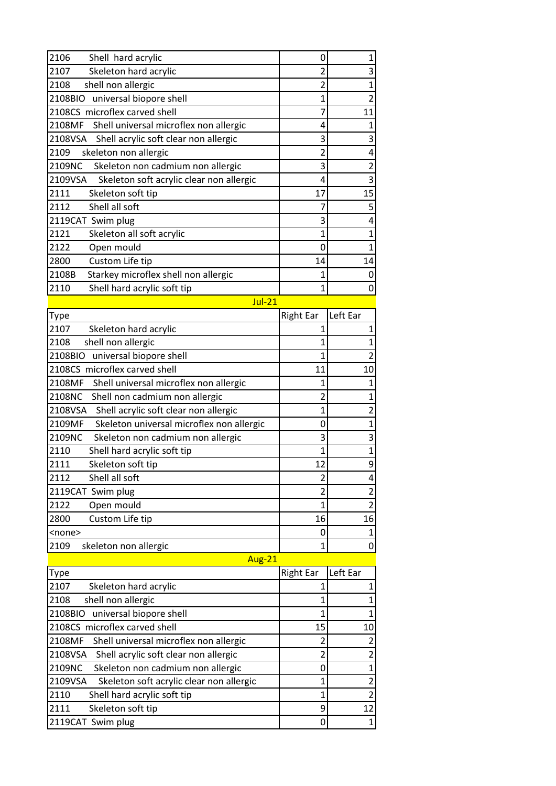| 2106<br>Shell hard acrylic                          | 0                | 1                       |
|-----------------------------------------------------|------------------|-------------------------|
| 2107<br>Skeleton hard acrylic                       | $\overline{2}$   | 3                       |
| shell non allergic<br>2108                          | $\overline{2}$   | $\mathbf{1}$            |
| 2108BIO universal biopore shell                     | 1                | $\overline{2}$          |
| 2108CS microflex carved shell                       | 7                | 11                      |
| 2108MF<br>Shell universal microflex non allergic    | 4                | 1                       |
| 2108VSA Shell acrylic soft clear non allergic       | 3                | 3                       |
| skeleton non allergic<br>2109                       | $\overline{c}$   | 4                       |
| 2109NC<br>Skeleton non cadmium non allergic         | 3                | $\overline{\mathbf{c}}$ |
| Skeleton soft acrylic clear non allergic<br>2109VSA | 4                | 3                       |
| 2111<br>Skeleton soft tip                           | 17               | 15                      |
| 2112<br>Shell all soft                              | 7                | $\overline{5}$          |
| 2119CAT Swim plug                                   | 3                | 4                       |
| 2121<br>Skeleton all soft acrylic                   | 1                | $\mathbf{1}$            |
| 2122<br>Open mould                                  | 0                | $\overline{1}$          |
| 2800<br>Custom Life tip                             | 14               | 14                      |
| 2108B<br>Starkey microflex shell non allergic       | 1                | 0                       |
| 2110<br>Shell hard acrylic soft tip                 | 1                | $\mathbf 0$             |
| $Jul-21$                                            |                  |                         |
| Type                                                | <b>Right Ear</b> | Left Ear                |
| 2107<br>Skeleton hard acrylic                       | $\mathbf{1}$     | $\mathbf 1$             |
| shell non allergic<br>2108                          | 1                | $\mathbf 1$             |
| universal biopore shell<br>2108BIO                  | 1                | $\overline{2}$          |
| 2108CS microflex carved shell                       | 11               | 10                      |
| 2108MF<br>Shell universal microflex non allergic    | 1                | 1                       |
| 2108NC<br>Shell non cadmium non allergic            | 2                | $\mathbf 1$             |
| Shell acrylic soft clear non allergic<br>2108VSA    | $\overline{1}$   | 2                       |
| 2109MF<br>Skeleton universal microflex non allergic | 0                | $\mathbf 1$             |
| 2109NC<br>Skeleton non cadmium non allergic         | 3                | 3                       |
| 2110<br>Shell hard acrylic soft tip                 | 1                | $\mathbf{1}$            |
| 2111<br>Skeleton soft tip                           | 12               | 9                       |
| Shell all soft<br>2112                              | $\overline{c}$   | 4                       |
| 2119CAT Swim plug                                   | 2                | $\overline{\mathbf{c}}$ |
| 2122<br>Open mould                                  | 1                | $\overline{2}$          |
| Custom Life tip<br>2800                             | 16               | 16                      |
| <none></none>                                       | 0                | $\mathbf{1}$            |
| 2109<br>skeleton non allergic                       | $\overline{1}$   | 0                       |
| <b>Aug-21</b>                                       |                  |                         |
| Type                                                | <b>Right Ear</b> | Left Ear                |
| 2107<br>Skeleton hard acrylic                       | $\mathbf{1}$     | 1                       |
| shell non allergic<br>2108                          | $\mathbf 1$      | $\mathbf 1$             |
| 2108BIO<br>universal biopore shell                  | 1                | $\mathbf{1}$            |
| 2108CS microflex carved shell                       | 15               | 10                      |
| 2108MF<br>Shell universal microflex non allergic    | $\overline{c}$   | $\overline{2}$          |
| Shell acrylic soft clear non allergic<br>2108VSA    | $\overline{2}$   | $\overline{2}$          |

Shell acrylic soft clear non allergic 2<br>
Skeleton non cadmium non allergic 2 0 1

2109NC Skeleton non cadmium non allergic<br>
2109VSA Skeleton soft acrylic clear non allergic<br>
2 2109VSA Skeleton soft acrylic clear non allergic 1 2<br>2110 Shell hard acrylic soft tip 1 2

2111 Skeleton soft tip 12 2119CAT Swim plug 0 1

2110 Shell hard acrylic soft tip 1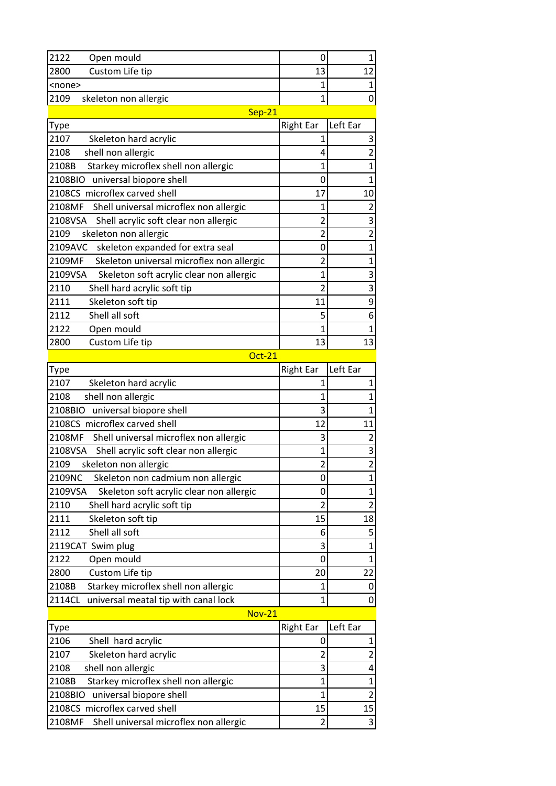| 2122<br>Open mould                                  | 0                | 1                       |
|-----------------------------------------------------|------------------|-------------------------|
| Custom Life tip<br>2800                             | 13               | 12                      |
| <none></none>                                       | 1                | $\mathbf{1}$            |
| 2109<br>skeleton non allergic                       | 1                | 0                       |
| $Sep-21$                                            |                  |                         |
| Type                                                | <b>Right Ear</b> | Left Ear                |
| 2107<br>Skeleton hard acrylic                       | 1                | 3                       |
| 2108<br>shell non allergic                          | 4                | $\overline{2}$          |
| 2108B<br>Starkey microflex shell non allergic       | 1                | $\mathbf{1}$            |
| 2108BIO universal biopore shell                     | 0                | $\mathbf{1}$            |
| 2108CS microflex carved shell                       | 17               | 10                      |
| 2108MF<br>Shell universal microflex non allergic    | 1                | $\overline{2}$          |
| 2108VSA<br>Shell acrylic soft clear non allergic    | 2                | 3                       |
| 2109<br>skeleton non allergic                       | $\overline{2}$   | $\overline{2}$          |
| 2109AVC<br>skeleton expanded for extra seal         | 0                | $\mathbf{1}$            |
| 2109MF<br>Skeleton universal microflex non allergic | $\overline{c}$   | $\mathbf{1}$            |
| 2109VSA<br>Skeleton soft acrylic clear non allergic | 1                | 3                       |
| 2110<br>Shell hard acrylic soft tip                 | $\overline{c}$   | $\overline{3}$          |
| 2111<br>Skeleton soft tip                           | 11               | 9                       |
| 2112<br>Shell all soft                              | 5                | 6                       |
| 2122<br>Open mould                                  | 1                | $\mathbf{1}$            |
| 2800<br>Custom Life tip                             | 13               | 13                      |
| <b>Oct-21</b>                                       |                  |                         |
| Type                                                | <b>Right Ear</b> | Left Ear                |
| 2107<br>Skeleton hard acrylic                       | 1                | 1                       |
| shell non allergic<br>2108                          | 1                | $\mathbf{1}$            |
| 2108BIO<br>universal biopore shell                  | 3                | $\mathbf{1}$            |
| 2108CS microflex carved shell                       | 12               | 11                      |
| 2108MF<br>Shell universal microflex non allergic    | 3                | $\overline{2}$          |
| 2108VSA<br>Shell acrylic soft clear non allergic    | 1                | 3                       |
| 2109<br>skeleton non allergic                       | $\overline{c}$   | $\overline{2}$          |
| 2109NC<br>Skeleton non cadmium non allergic         | 0                | 1                       |
| Skeleton soft acrylic clear non allergic<br>2109VSA | 0                | $\mathbf{1}$            |
| Shell hard acrylic soft tip<br>2110                 | $\overline{2}$   | $\overline{c}$          |
| 2111<br>Skeleton soft tip                           | 15               | 18                      |
| 2112<br>Shell all soft                              | 6                | 5                       |
| 2119CAT Swim plug                                   | 3                | $\overline{1}$          |
| 2122<br>Open mould                                  | 0                | $\mathbf{1}$            |
| Custom Life tip<br>2800                             | 20               | 22                      |
| Starkey microflex shell non allergic<br>2108B       | 1                | 0                       |
| 2114CL<br>universal meatal tip with canal lock      | 1                | 0                       |
| <b>Nov-21</b>                                       |                  |                         |
| Type                                                | <b>Right Ear</b> | Left Ear                |
| 2106<br>Shell hard acrylic                          | 0                | $\mathbf{1}$            |
| 2107<br>Skeleton hard acrylic                       | $\overline{c}$   | $\overline{\mathbf{c}}$ |
| shell non allergic<br>2108                          | 3                | 4                       |
| Starkey microflex shell non allergic<br>2108B       | 1                | $\mathbf{1}$            |
| universal biopore shell<br>2108BIO                  | 1                | $\overline{c}$          |
| 2108CS microflex carved shell                       | 15               | 15                      |
| 2108MF<br>Shell universal microflex non allergic    | $\overline{2}$   | 3                       |
|                                                     |                  |                         |